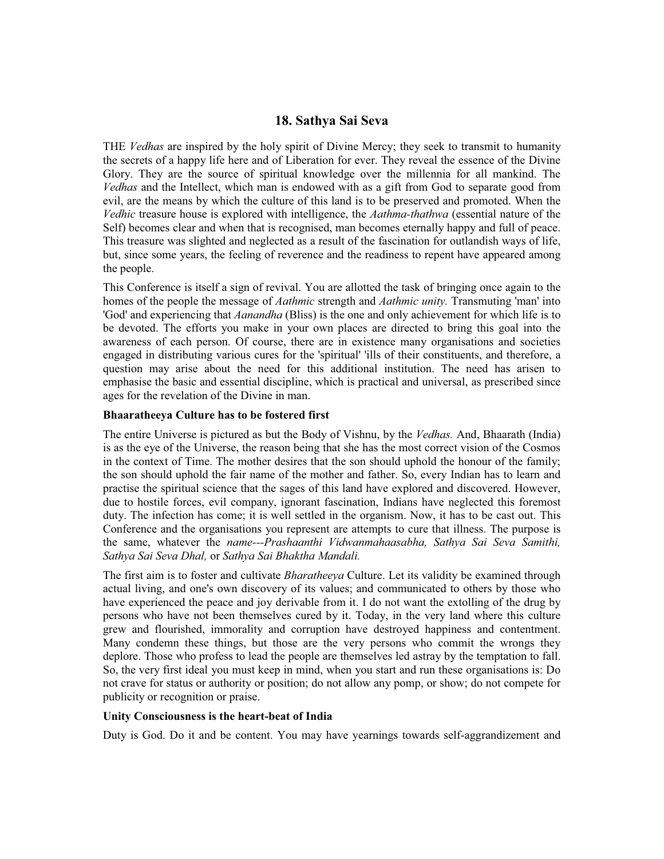# **18. Sathya Sai Seva**

THE *Vedhas* are inspired by the holy spirit of Divine Mercy; they seek to transmit to humanity the secrets of a happy life here and of Liberation for ever. They reveal the essence of the Divine Glory. They are the source of spiritual knowledge over the millennia for all mankind. The *Vedhas* and the Intellect, which man is endowed with as a gift from God to separate good from evil, are the means by which the culture of this land is to be preserved and promoted. When the *Vedhic* treasure house is explored with intelligence, the *Aathma-thathwa* (essential nature of the Self) becomes clear and when that is recognised, man becomes eternally happy and full of peace. This treasure was slighted and neglected as a result of the fascination for outlandish ways of life, but, since some years, the feeling of reverence and the readiness to repent have appeared among the people.

This Conference is itself a sign of revival. You are allotted the task of bringing once again to the homes of the people the message of *Aathmic* strength and *Aathmic unity.* Transmuting 'man' into 'God' and experiencing that *Aanandha* (Bliss) is the one and only achievement for which life is to be devoted. The efforts you make in your own places are directed to bring this goal into the awareness of each person. Of course, there are in existence many organisations and societies engaged in distributing various cures for the 'spiritual' 'ills of their constituents, and therefore, a question may arise about the need for this additional institution. The need has arisen to emphasise the basic and essential discipline, which is practical and universal, as prescribed since ages for the revelation of the Divine in man.

### **Bhaaratheeya Culture has to be fostered first**

The entire Universe is pictured as but the Body of Vishnu, by the *Vedhas.* And, Bhaarath (India) is as the eye of the Universe, the reason being that she has the most correct vision of the Cosmos in the context of Time. The mother desires that the son should uphold the honour of the family; the son should uphold the fair name of the mother and father. So, every Indian has to learn and practise the spiritual science that the sages of this land have explored and discovered. However, due to hostile forces, evil company, ignorant fascination, Indians have neglected this foremost duty. The infection has come; it is well settled in the organism. Now, it has to be cast out. This Conference and the organisations you represent are attempts to cure that illness. The purpose is the same, whatever the *name---Prashaanthi Vidwanmahaasabha, Sathya Sai Seva Samithi, Sathya Sai Seva Dhal,* or *Sathya Sai Bhaktha Mandali.*

The first aim is to foster and cultivate *Bharatheeya* Culture. Let its validity be examined through actual living, and one's own discovery of its values; and communicated to others by those who have experienced the peace and joy derivable from it. I do not want the extolling of the drug by persons who have not been themselves cured by it. Today, in the very land where this culture grew and flourished, immorality and corruption have destroyed happiness and contentment. Many condemn these things, but those are the very persons who commit the wrongs they deplore. Those who profess to lead the people are themselves led astray by the temptation to fall. So, the very first ideal you must keep in mind, when you start and run these organisations is: Do not crave for status or authority or position; do not allow any pomp, or show; do not compete for publicity or recognition or praise.

### **Unity Consciousness is the heart-beat of India**

Duty is God. Do it and be content. You may have yearnings towards self-aggrandizement and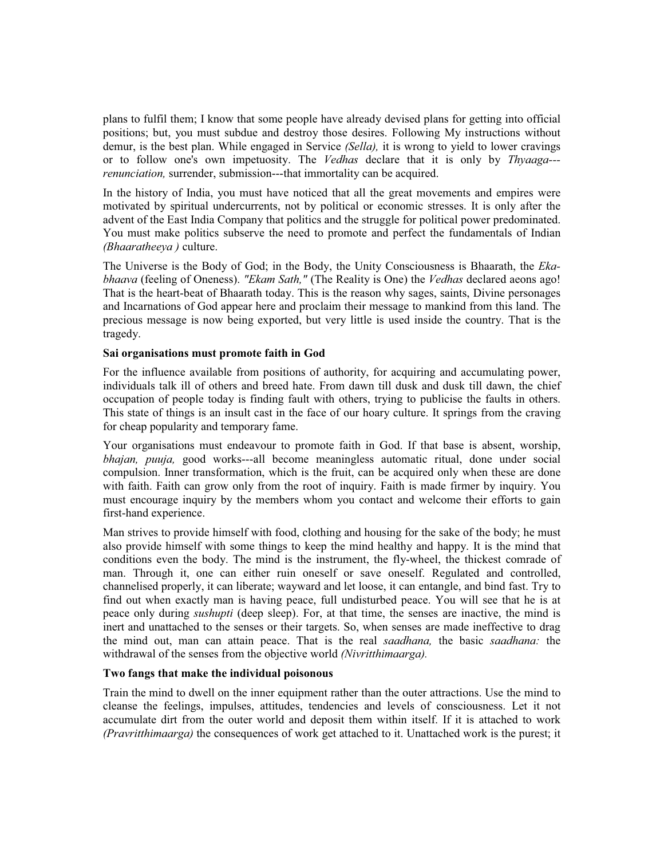plans to fulfil them; I know that some people have already devised plans for getting into official positions; but, you must subdue and destroy those desires. Following My instructions without demur, is the best plan. While engaged in Service *(Sella),* it is wrong to yield to lower cravings or to follow one's own impetuosity. The *Vedhas* declare that it is only by *Thyaaga-- renunciation,* surrender, submission---that immortality can be acquired.

In the history of India, you must have noticed that all the great movements and empires were motivated by spiritual undercurrents, not by political or economic stresses. It is only after the advent of the East India Company that politics and the struggle for political power predominated. You must make politics subserve the need to promote and perfect the fundamentals of Indian *(Bhaaratheeya )* culture.

The Universe is the Body of God; in the Body, the Unity Consciousness is Bhaarath, the *Ekabhaava* (feeling of Oneness). *"Ekam Sath,"* (The Reality is One) the *Vedhas* declared aeons ago! That is the heart-beat of Bhaarath today. This is the reason why sages, saints, Divine personages and Incarnations of God appear here and proclaim their message to mankind from this land. The precious message is now being exported, but very little is used inside the country. That is the tragedy.

### **Sai organisations must promote faith in God**

For the influence available from positions of authority, for acquiring and accumulating power, individuals talk ill of others and breed hate. From dawn till dusk and dusk till dawn, the chief occupation of people today is finding fault with others, trying to publicise the faults in others. This state of things is an insult cast in the face of our hoary culture. It springs from the craving for cheap popularity and temporary fame.

Your organisations must endeavour to promote faith in God. If that base is absent, worship, *bhajan, puuja,* good works---all become meaningless automatic ritual, done under social compulsion. Inner transformation, which is the fruit, can be acquired only when these are done with faith. Faith can grow only from the root of inquiry. Faith is made firmer by inquiry. You must encourage inquiry by the members whom you contact and welcome their efforts to gain first-hand experience.

Man strives to provide himself with food, clothing and housing for the sake of the body; he must also provide himself with some things to keep the mind healthy and happy. It is the mind that conditions even the body. The mind is the instrument, the fly-wheel, the thickest comrade of man. Through it, one can either ruin oneself or save oneself. Regulated and controlled, channelised properly, it can liberate; wayward and let loose, it can entangle, and bind fast. Try to find out when exactly man is having peace, full undisturbed peace. You will see that he is at peace only during *sushupti* (deep sleep). For, at that time, the senses are inactive, the mind is inert and unattached to the senses or their targets. So, when senses are made ineffective to drag the mind out, man can attain peace. That is the real *saadhana,* the basic *saadhana:* the withdrawal of the senses from the objective world *(Nivritthimaarga).*

### **Two fangs that make the individual poisonous**

Train the mind to dwell on the inner equipment rather than the outer attractions. Use the mind to cleanse the feelings, impulses, attitudes, tendencies and levels of consciousness. Let it not accumulate dirt from the outer world and deposit them within itself. If it is attached to work *(Pravritthimaarga)* the consequences of work get attached to it. Unattached work is the purest; it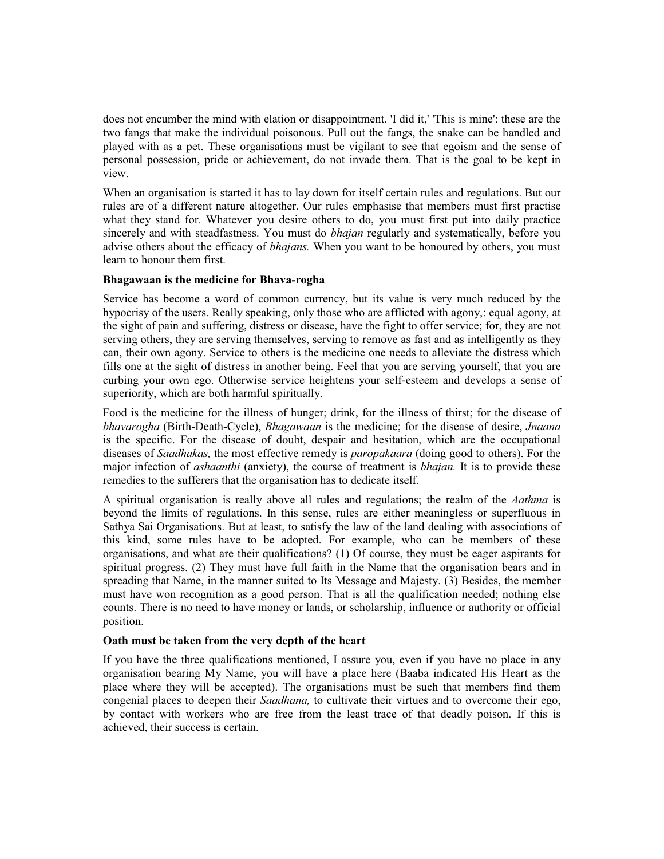does not encumber the mind with elation or disappointment. 'I did it,' 'This is mine': these are the two fangs that make the individual poisonous. Pull out the fangs, the snake can be handled and played with as a pet. These organisations must be vigilant to see that egoism and the sense of personal possession, pride or achievement, do not invade them. That is the goal to be kept in view.

When an organisation is started it has to lay down for itself certain rules and regulations. But our rules are of a different nature altogether. Our rules emphasise that members must first practise what they stand for. Whatever you desire others to do, you must first put into daily practice sincerely and with steadfastness. You must do *bhajan* regularly and systematically, before you advise others about the efficacy of *bhajans.* When you want to be honoured by others, you must learn to honour them first.

# **Bhagawaan is the medicine for Bhava-rogha**

Service has become a word of common currency, but its value is very much reduced by the hypocrisy of the users. Really speaking, only those who are afflicted with agony,: equal agony, at the sight of pain and suffering, distress or disease, have the fight to offer service; for, they are not serving others, they are serving themselves, serving to remove as fast and as intelligently as they can, their own agony. Service to others is the medicine one needs to alleviate the distress which fills one at the sight of distress in another being. Feel that you are serving yourself, that you are curbing your own ego. Otherwise service heightens your self-esteem and develops a sense of superiority, which are both harmful spiritually.

Food is the medicine for the illness of hunger; drink, for the illness of thirst; for the disease of *bhavarogha* (Birth-Death-Cycle), *Bhagawaan* is the medicine; for the disease of desire, *Jnaana* is the specific. For the disease of doubt, despair and hesitation, which are the occupational diseases of *Saadhakas,* the most effective remedy is *paropakaara* (doing good to others). For the major infection of *ashaanthi* (anxiety), the course of treatment is *bhajan.* It is to provide these remedies to the sufferers that the organisation has to dedicate itself.

A spiritual organisation is really above all rules and regulations; the realm of the *Aathma* is beyond the limits of regulations. In this sense, rules are either meaningless or superfluous in Sathya Sai Organisations. But at least, to satisfy the law of the land dealing with associations of this kind, some rules have to be adopted. For example, who can be members of these organisations, and what are their qualifications? (1) Of course, they must be eager aspirants for spiritual progress. (2) They must have full faith in the Name that the organisation bears and in spreading that Name, in the manner suited to Its Message and Majesty. (3) Besides, the member must have won recognition as a good person. That is all the qualification needed; nothing else counts. There is no need to have money or lands, or scholarship, influence or authority or official position.

### **Oath must be taken from the very depth of the heart**

If you have the three qualifications mentioned, I assure you, even if you have no place in any organisation bearing My Name, you will have a place here (Baaba indicated His Heart as the place where they will be accepted). The organisations must be such that members find them congenial places to deepen their *Saadhana,* to cultivate their virtues and to overcome their ego, by contact with workers who are free from the least trace of that deadly poison. If this is achieved, their success is certain.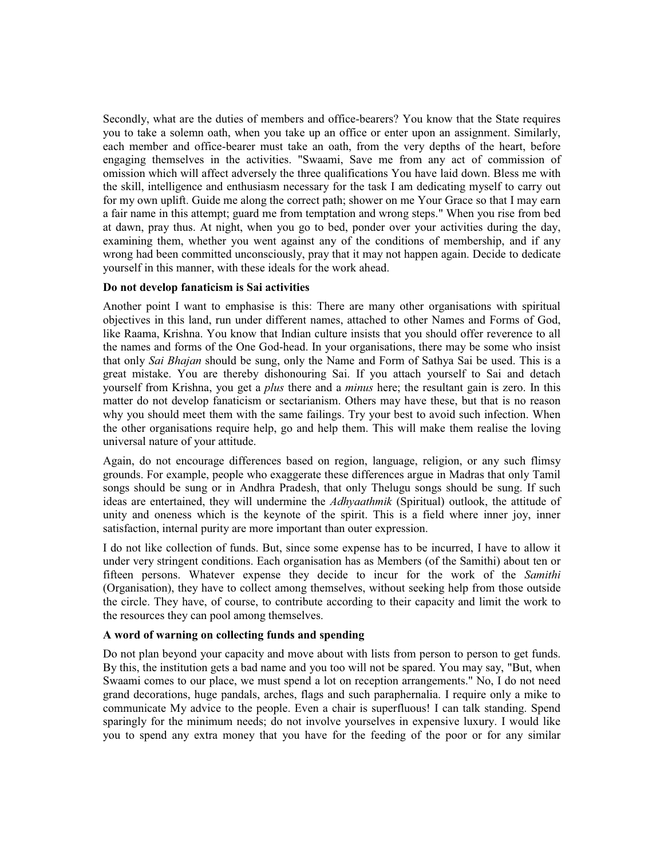Secondly, what are the duties of members and office-bearers? You know that the State requires you to take a solemn oath, when you take up an office or enter upon an assignment. Similarly, each member and office-bearer must take an oath, from the very depths of the heart, before engaging themselves in the activities. "Swaami, Save me from any act of commission of omission which will affect adversely the three qualifications You have laid down. Bless me with the skill, intelligence and enthusiasm necessary for the task I am dedicating myself to carry out for my own uplift. Guide me along the correct path; shower on me Your Grace so that I may earn a fair name in this attempt; guard me from temptation and wrong steps." When you rise from bed at dawn, pray thus. At night, when you go to bed, ponder over your activities during the day, examining them, whether you went against any of the conditions of membership, and if any wrong had been committed unconsciously, pray that it may not happen again. Decide to dedicate yourself in this manner, with these ideals for the work ahead.

# **Do not develop fanaticism is Sai activities**

Another point I want to emphasise is this: There are many other organisations with spiritual objectives in this land, run under different names, attached to other Names and Forms of God, like Raama, Krishna. You know that Indian culture insists that you should offer reverence to all the names and forms of the One God-head. In your organisations, there may be some who insist that only *Sai Bhajan* should be sung, only the Name and Form of Sathya Sai be used. This is a great mistake. You are thereby dishonouring Sai. If you attach yourself to Sai and detach yourself from Krishna, you get a *plus* there and a *minus* here; the resultant gain is zero. In this matter do not develop fanaticism or sectarianism. Others may have these, but that is no reason why you should meet them with the same failings. Try your best to avoid such infection. When the other organisations require help, go and help them. This will make them realise the loving universal nature of your attitude.

Again, do not encourage differences based on region, language, religion, or any such flimsy grounds. For example, people who exaggerate these differences argue in Madras that only Tamil songs should be sung or in Andhra Pradesh, that only Thelugu songs should be sung. If such ideas are entertained, they will undermine the *Adhyaathmik* (Spiritual) outlook, the attitude of unity and oneness which is the keynote of the spirit. This is a field where inner joy, inner satisfaction, internal purity are more important than outer expression.

I do not like collection of funds. But, since some expense has to be incurred, I have to allow it under very stringent conditions. Each organisation has as Members (of the Samithi) about ten or fifteen persons. Whatever expense they decide to incur for the work of the *Samithi* (Organisation), they have to collect among themselves, without seeking help from those outside the circle. They have, of course, to contribute according to their capacity and limit the work to the resources they can pool among themselves.

### **A word of warning on collecting funds and spending**

Do not plan beyond your capacity and move about with lists from person to person to get funds. By this, the institution gets a bad name and you too will not be spared. You may say, "But, when Swaami comes to our place, we must spend a lot on reception arrangements." No, I do not need grand decorations, huge pandals, arches, flags and such paraphernalia. I require only a mike to communicate My advice to the people. Even a chair is superfluous! I can talk standing. Spend sparingly for the minimum needs; do not involve yourselves in expensive luxury. I would like you to spend any extra money that you have for the feeding of the poor or for any similar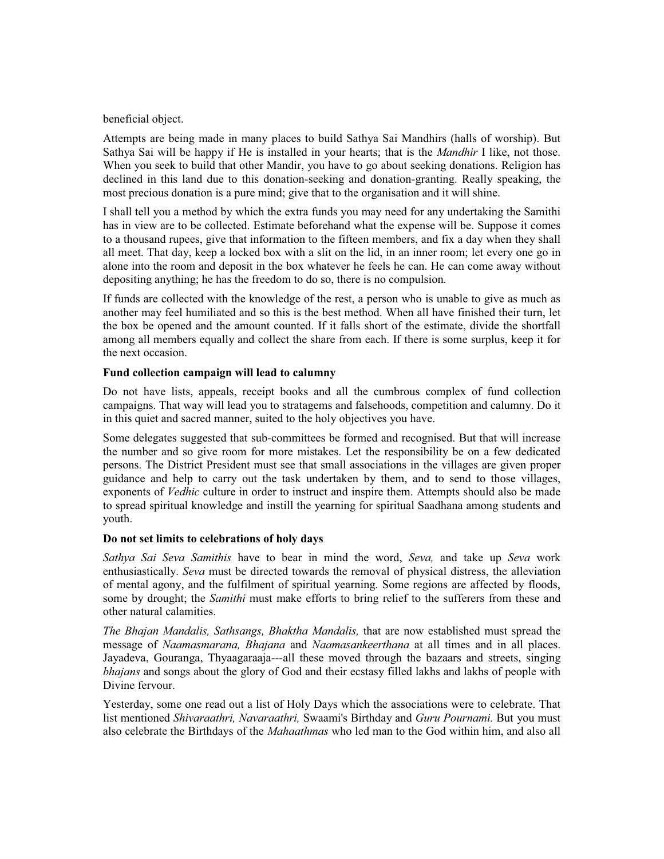beneficial object.

Attempts are being made in many places to build Sathya Sai Mandhirs (halls of worship). But Sathya Sai will be happy if He is installed in your hearts; that is the *Mandhir* I like, not those. When you seek to build that other Mandir, you have to go about seeking donations. Religion has declined in this land due to this donation-seeking and donation-granting. Really speaking, the most precious donation is a pure mind; give that to the organisation and it will shine.

I shall tell you a method by which the extra funds you may need for any undertaking the Samithi has in view are to be collected. Estimate beforehand what the expense will be. Suppose it comes to a thousand rupees, give that information to the fifteen members, and fix a day when they shall all meet. That day, keep a locked box with a slit on the lid, in an inner room; let every one go in alone into the room and deposit in the box whatever he feels he can. He can come away without depositing anything; he has the freedom to do so, there is no compulsion.

If funds are collected with the knowledge of the rest, a person who is unable to give as much as another may feel humiliated and so this is the best method. When all have finished their turn, let the box be opened and the amount counted. If it falls short of the estimate, divide the shortfall among all members equally and collect the share from each. If there is some surplus, keep it for the next occasion.

# **Fund collection campaign will lead to calumny**

Do not have lists, appeals, receipt books and all the cumbrous complex of fund collection campaigns. That way will lead you to stratagems and falsehoods, competition and calumny. Do it in this quiet and sacred manner, suited to the holy objectives you have.

Some delegates suggested that sub-committees be formed and recognised. But that will increase the number and so give room for more mistakes. Let the responsibility be on a few dedicated persons. The District President must see that small associations in the villages are given proper guidance and help to carry out the task undertaken by them, and to send to those villages, exponents of *Vedhic* culture in order to instruct and inspire them. Attempts should also be made to spread spiritual knowledge and instill the yearning for spiritual Saadhana among students and youth.

### **Do not set limits to celebrations of holy days**

*Sathya Sai Seva Samithis* have to bear in mind the word, *Seva,* and take up *Seva* work enthusiastically. *Seva* must be directed towards the removal of physical distress, the alleviation of mental agony, and the fulfilment of spiritual yearning. Some regions are affected by floods, some by drought; the *Samithi* must make efforts to bring relief to the sufferers from these and other natural calamities.

*The Bhajan Mandalis, Sathsangs, Bhaktha Mandalis,* that are now established must spread the message of *Naamasmarana, Bhajana* and *Naamasankeerthana* at all times and in all places. Jayadeva, Gouranga, Thyaagaraaja---all these moved through the bazaars and streets, singing *bhajans* and songs about the glory of God and their ecstasy filled lakhs and lakhs of people with Divine fervour.

Yesterday, some one read out a list of Holy Days which the associations were to celebrate. That list mentioned *Shivaraathri, Navaraathri,* Swaami's Birthday and *Guru Pournami.* But you must also celebrate the Birthdays of the *Mahaathmas* who led man to the God within him, and also all